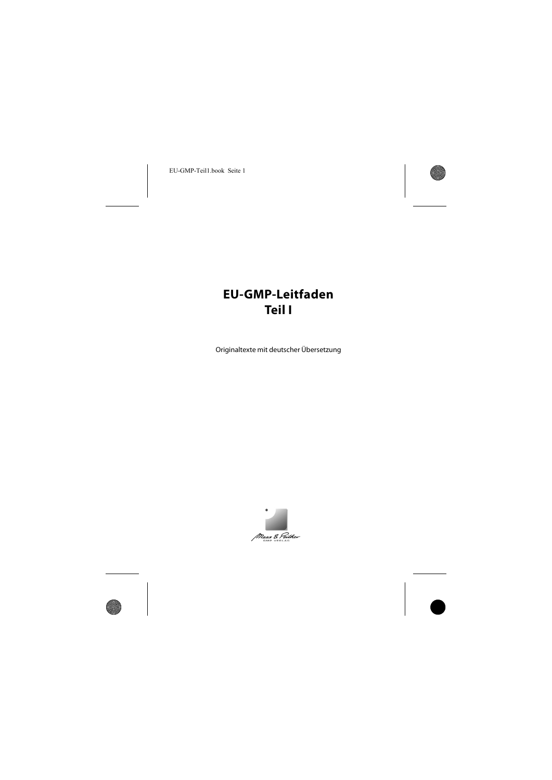# **EU-GMP-Leitfaden Teil I**

Originaltexte mit deutscher Übersetzung

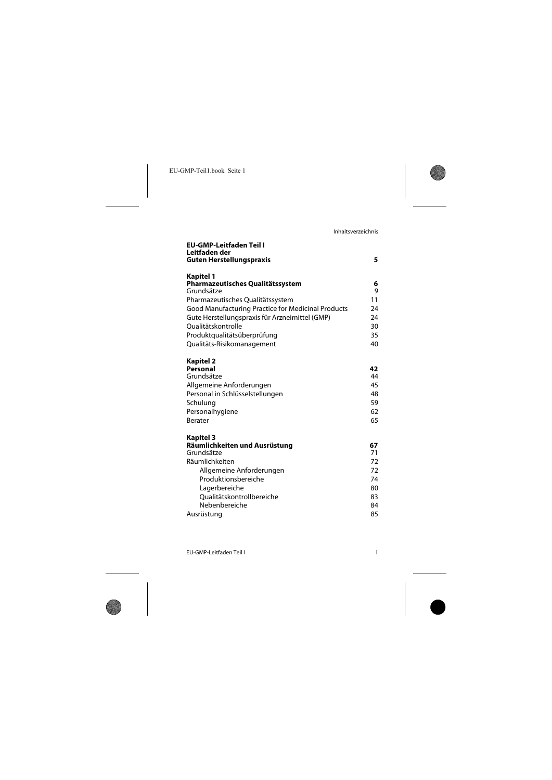| EU-GMP-Leitfaden Teil I<br>Leitfaden der<br><b>Guten Herstellungspraxis</b> | 5        |
|-----------------------------------------------------------------------------|----------|
|                                                                             |          |
| Kapitel 1<br>Pharmazeutisches Qualitätssystem<br>Grundsätze                 | 6<br>9   |
| Pharmazeutisches Qualitätssystem                                            | 11       |
| <b>Good Manufacturing Practice for Medicinal Products</b>                   | 24       |
| Gute Herstellungspraxis für Arzneimittel (GMP)                              | 24       |
| <b>Oualitätskontrolle</b>                                                   | 30       |
| Produktqualitätsüberprüfung<br>Qualitäts-Risikomanagement                   | 35<br>40 |
|                                                                             |          |
| Kapitel 2                                                                   |          |
| Personal                                                                    | 42       |
| Grundsätze                                                                  | 44       |
| Allgemeine Anforderungen                                                    | 45       |
| Personal in Schlüsselstellungen                                             | 48       |
| Schulung                                                                    | 59<br>62 |
| Personalhygiene<br>Berater                                                  | 65       |
|                                                                             |          |
| Kapitel 3                                                                   |          |
| Räumlichkeiten und Ausrüstung<br>Grundsätze                                 | 67       |
| Räumlichkeiten                                                              | 71<br>72 |
|                                                                             | 72       |
| Allgemeine Anforderungen<br>Produktionsbereiche                             | 74       |
| Lagerbereiche                                                               | 80       |
| Oualitätskontrollbereiche                                                   | 83       |
| Nebenbereiche                                                               | 84       |
| Ausrüstung                                                                  | 85       |
|                                                                             |          |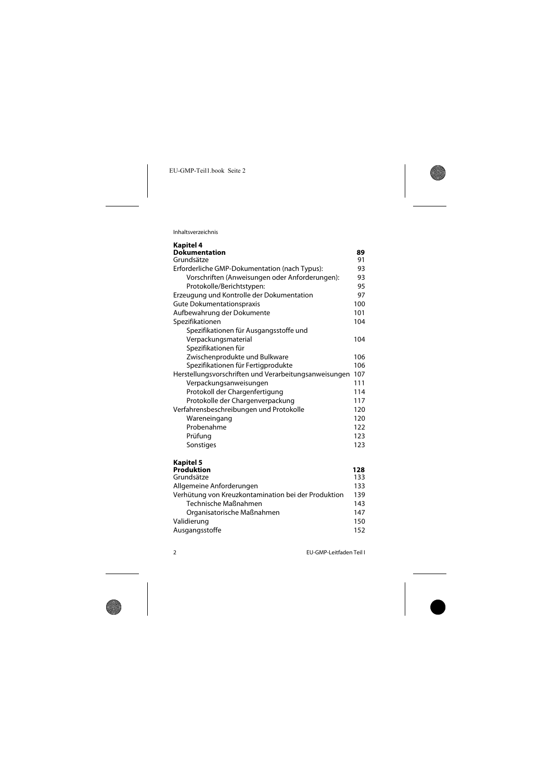Inhaltsverzeichnis

| Kapitel 4                                             |     |
|-------------------------------------------------------|-----|
| <b>Dokumentation</b>                                  | 89  |
| Grundsätze                                            | 91  |
| Erforderliche GMP-Dokumentation (nach Typus):         | 93  |
| Vorschriften (Anweisungen oder Anforderungen):        | 93  |
| Protokolle/Berichtstypen:                             | 95  |
| Erzeugung und Kontrolle der Dokumentation             | 97  |
| Gute Dokumentationspraxis                             | 100 |
| Aufbewahrung der Dokumente                            | 101 |
| Spezifikationen                                       | 104 |
| Spezifikationen für Ausgangsstoffe und                |     |
| Verpackungsmaterial                                   | 104 |
| Spezifikationen für                                   |     |
| Zwischenprodukte und Bulkware                         | 106 |
| Spezifikationen für Fertigprodukte                    | 106 |
| Herstellungsvorschriften und Verarbeitungsanweisungen | 107 |
| Verpackungsanweisungen                                | 111 |
| Protokoll der Chargenfertigung                        | 114 |
| Protokolle der Chargenverpackung                      | 117 |
| Verfahrensbeschreibungen und Protokolle               | 120 |
| Wareneingang                                          | 120 |
| Probenahme                                            | 122 |
| Prüfung                                               | 123 |
| Sonstiges                                             | 123 |
| Kapitel 5                                             |     |
| Produktion                                            | 128 |
| Grundsätze                                            | 133 |
| Allgemeine Anforderungen                              | 133 |
| Verhütung von Kreuzkontamination bei der Produktion   | 139 |
| Technische Maßnahmen                                  | 143 |
| Organisatorische Maßnahmen                            | 147 |
| Validierung                                           | 150 |
| Ausgangsstoffe                                        | 152 |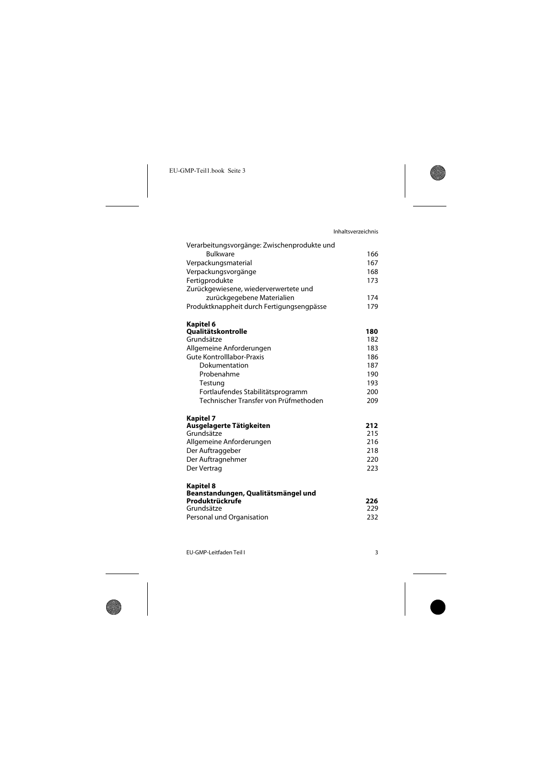| Verarbeitungsvorgänge: Zwischenprodukte und |            |
|---------------------------------------------|------------|
| <b>Bulkware</b>                             | 166        |
| Verpackungsmaterial                         | 167        |
| Verpackungsvorgänge                         | 168        |
| Fertigprodukte                              | 173        |
| Zurückgewiesene, wiederverwertete und       |            |
| zurückgegebene Materialien                  | 174        |
| Produktknappheit durch Fertigungsengpässe   | 179        |
| Kapitel 6                                   |            |
| <b>Qualitätskontrolle</b>                   | 180        |
| Grundsätze                                  | 182        |
| Allgemeine Anforderungen                    | 183        |
| Gute Kontrolllabor-Praxis                   | 186        |
| Dokumentation                               | 187        |
| Probenahme                                  | 190        |
| Testung                                     | 193        |
| Fortlaufendes Stabilitätsprogramm           | 200        |
| Technischer Transfer von Prüfmethoden       | 209        |
| Kapitel 7                                   |            |
| Ausgelagerte Tätigkeiten<br>Grundsätze      | 212<br>215 |
| Allgemeine Anforderungen                    | 216        |
| Der Auftraggeber                            | 218        |
| Der Auftragnehmer                           | 220        |
| Der Vertrag                                 | 223        |
| Kapitel 8                                   |            |
| Beanstandungen, Qualitätsmängel und         |            |
| Produktrückrufe                             | 226        |
| Grundsätze                                  | 229        |
| Personal und Organisation                   | 232        |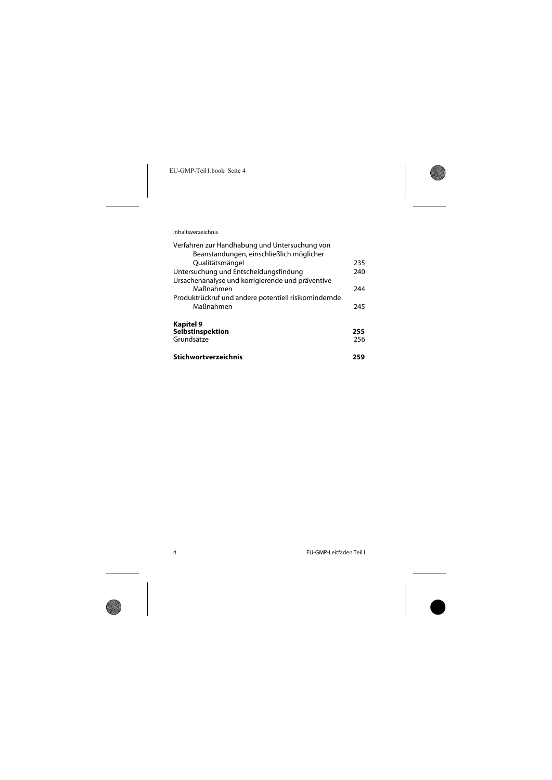Inhaltsverzeichnis

| Stichwortverzeichnis                                 | 259        |
|------------------------------------------------------|------------|
| Selbstinspektion<br>Grundsätze                       | 255<br>256 |
| Kapitel 9                                            |            |
| Maßnahmen                                            | 245        |
| Produktrückruf und andere potentiell risikomindernde |            |
| Maßnahmen                                            | 244        |
| Ursachenanalyse und korrigierende und präventive     |            |
| Untersuchung und Entscheidungsfindung                | 240        |
| Qualitätsmängel                                      | 235        |
| Beanstandungen, einschließlich möglicher             |            |
| Verfahren zur Handhabung und Untersuchung von        |            |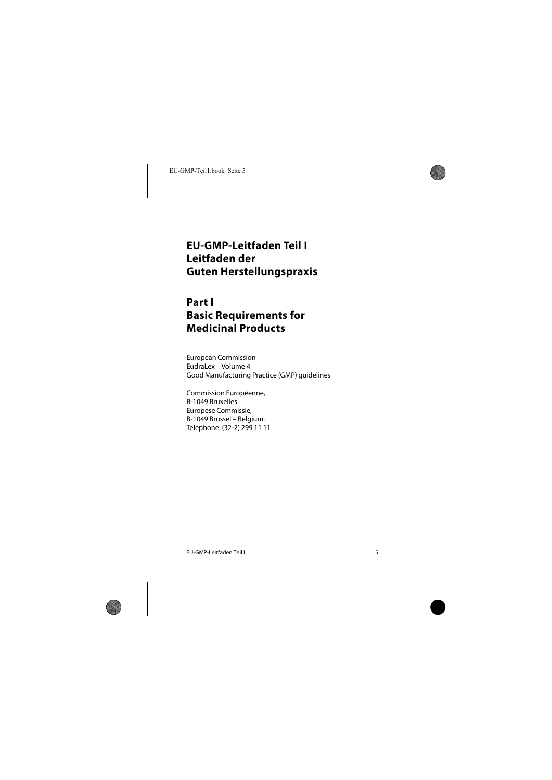# <span id="page-5-0"></span>**EU-GMP-Leitfaden Teil I Leitfaden der Guten Herstellungspraxis**

# **Part I Basic Requirements for Medicinal Products**

European Commission EudraLex – Volume 4 Good Manufacturing Practice (GMP) guidelines

Commission Européenne, B-1049 Bruxelles Europese Commissie, B-1049 Brussel – Belgium. Telephone: (32-2) 299 11 11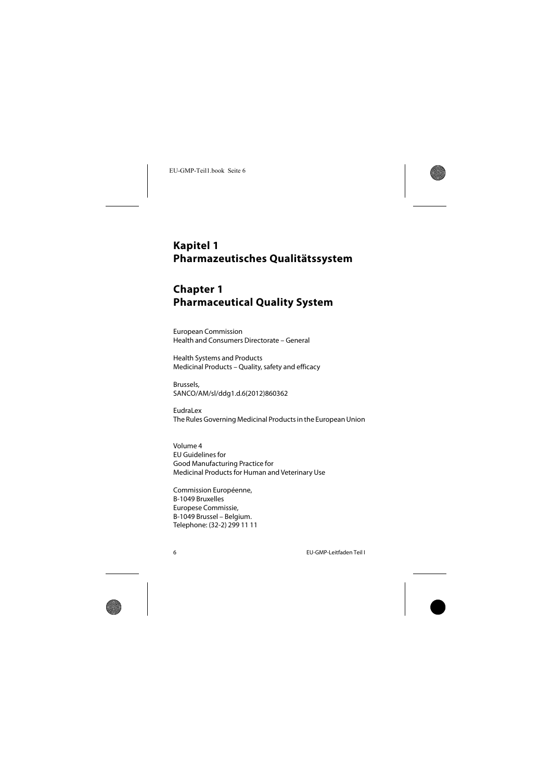# <span id="page-6-0"></span>**Kapitel 1 Pharmazeutisches Qualitätssystem**

# **Chapter 1 Pharmaceutical Quality System**

European Commission Health and Consumers Directorate – General

Health Systems and Products Medicinal Products – Quality, safety and efficacy

Brussels, SANCO/AM/sl/ddg1.d.6(2012)860362

Eudral ex The Rules Governing Medicinal Products in the European Union

Volume 4 EU Guidelines for Good Manufacturing Practice for Medicinal Products for Human and Veterinary Use

Commission Européenne, B-1049 Bruxelles Europese Commissie, B-1049 Brussel – Belgium. Telephone: (32-2) 299 11 11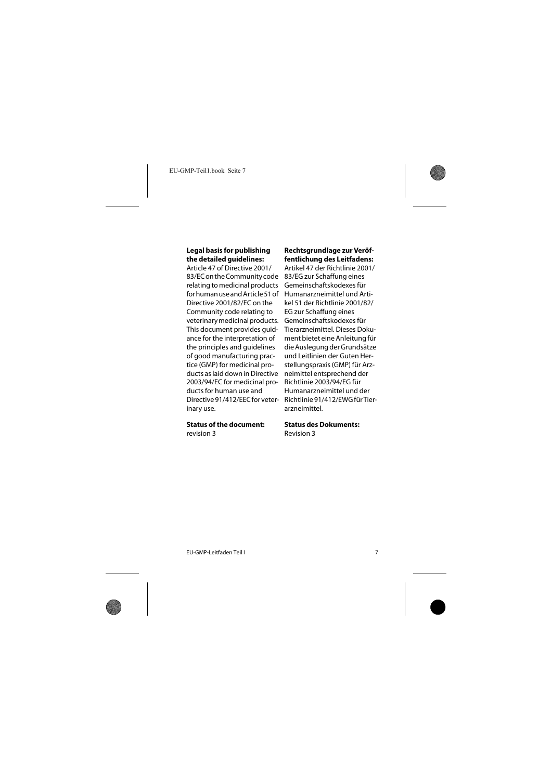#### **Legal basis for publishing the detailed guidelines:**

Article 47 of Directive 2001/ 83/EC on the Community code relating to medicinal products for human use and Article 51 of Directive 2001/82/EC on the Community code relating to veterinary medicinal products. This document provides guidance for the interpretation of the principles and guidelines of good manufacturing practice (GMP) for medicinal products as laid down in Directive 2003/94/EC for medicinal products for human use and Directive 91/412/EEC for veterinary use.

### **Status of the document:**

revision 3

### **Rechtsgrundlage zur Veröffentlichung des Leitfadens:**

Artikel 47 der Richtlinie 2001/ 83/EG zur Schaffung eines Gemeinschaftskodexes für Humanarzneimittel und Artikel 51 der Richtlinie 2001/82/ EG zur Schaffung eines Gemeinschaftskodexes für Tierarzneimittel. Dieses Dokument bietet eine Anleitung für die Auslegung der Grundsätze und Leitlinien der Guten Herstellungspraxis (GMP) für Arzneimittel entsprechend der Richtlinie 2003/94/EG für Humanarzneimittel und der Richtlinie 91/412/EWG für Tierarzneimittel.

#### **Status des Dokuments:**

Revision 3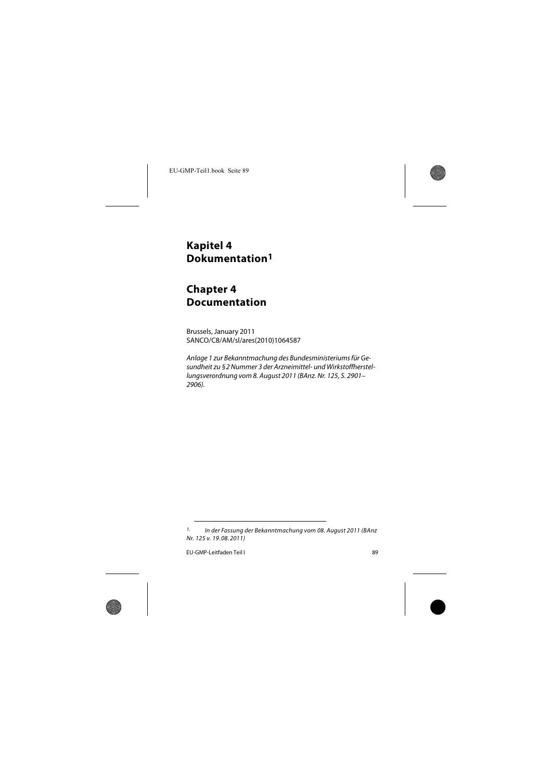## <span id="page-8-0"></span>**Kapitel 4 Dokumentation1**

# **Chapter 4 Documentation**

Brussels, January 2011 SANCO/C8/AM/sl/ares(2010)1064587

Anlage 1 zur Bekanntmachung des Bundesministeriums für Gesundheit zu §2 Nummer 3 der Arzneimittel- und Wirkstoffherstellungsverordnung vom 8. August 2011 (BAnz. Nr. 125, S. 2901– 2906).

<sup>1.</sup> In der Fassung der Bekanntmachung vom 08. August 2011 (BAnz Nr. 125 v. 19. 08. 2011)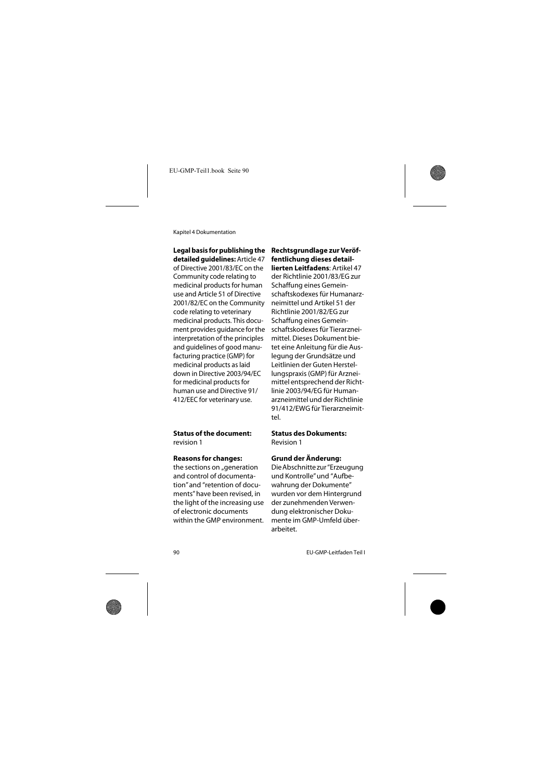## **Legal basis for publishing the**

**detailed guidelines:** Article 47 of Directive 2001/83/EC on the Community code relating to medicinal products for human use and Article 51 of Directive 2001/82/EC on the Community code relating to veterinary medicinal products. This document provides guidance for the interpretation of the principles and guidelines of good manufacturing practice (GMP) for medicinal products as laid down in Directive 2003/94/EC for medicinal products for human use and Directive 91/ 412/EEC for veterinary use.

#### **Status of the document:**

revision 1

#### **Reasons for changes:**

the sections on "generation and control of documentation" and "retention of documents" have been revised, in the light of the increasing use of electronic documents within the GMP environment. **Rechtsgrundlage zur Veröffentlichung dieses detaillierten Leitfadens**: Artikel 47 der Richtlinie 2001/83/EG zur Schaffung eines Gemeinschaftskodexes für Humanarzneimittel und Artikel 51 der Richtlinie 2001/82/EG zur Schaffung eines Gemeinschaftskodexes für Tierarzneimittel. Dieses Dokument bietet eine Anleitung für die Auslegung der Grundsätze und Leitlinien der Guten Herstellungspraxis (GMP) für Arzneimittel entsprechend der Richtlinie 2003/94/EG für Humanarzneimittel und der Richtlinie 91/412/EWG für Tierarzneimittel.

#### **Status des Dokuments:** Revision 1

### **Grund der Änderung:**

Die Abschnitte zur "Erzeugung und Kontrolle" und "Aufbewahrung der Dokumente" wurden vor dem Hintergrund der zunehmenden Verwendung elektronischer Dokumente im GMP-Umfeld überarbeitet.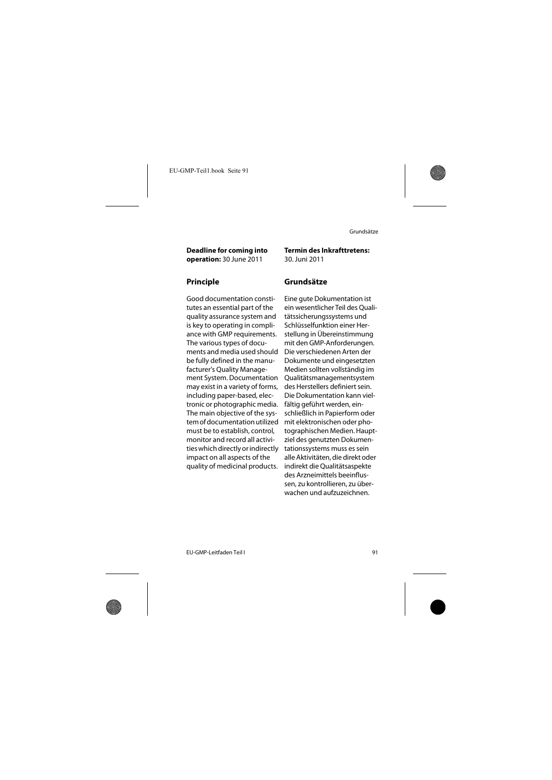**Deadline for coming into operation:** 30 June 2011

Good documentation constitutes an essential part of the quality assurance system and is key to operating in compliance with GMP requirements. The various types of documents and media used should be fully defined in the manufacturer's Quality Management System. Documentation may exist in a variety of forms, including paper-based, electronic or photographic media. The main objective of the system of documentation utilized must be to establish, control, monitor and record all activities which directly or indirectly impact on all aspects of the quality of medicinal products.

**Termin des Inkrafttretens:** 30. Juni 2011

## **Principle Grundsätze**

<span id="page-10-0"></span>Eine gute Dokumentation ist ein wesentlicher Teil des Qualitätssicherungssystems und Schlüsselfunktion einer Herstellung in Übereinstimmung mit den GMP-Anforderungen. Die verschiedenen Arten der Dokumente und eingesetzten Medien sollten vollständig im Qualitätsmanagementsystem des Herstellers definiert sein. Die Dokumentation kann vielfältig geführt werden, einschließlich in Papierform oder mit elektronischen oder photographischen Medien. Hauptziel des genutzten Dokumentationssystems muss es sein alle Aktivitäten, die direkt oder indirekt die Qualitätsaspekte des Arzneimittels beeinflussen, zu kontrollieren, zu überwachen und aufzuzeichnen.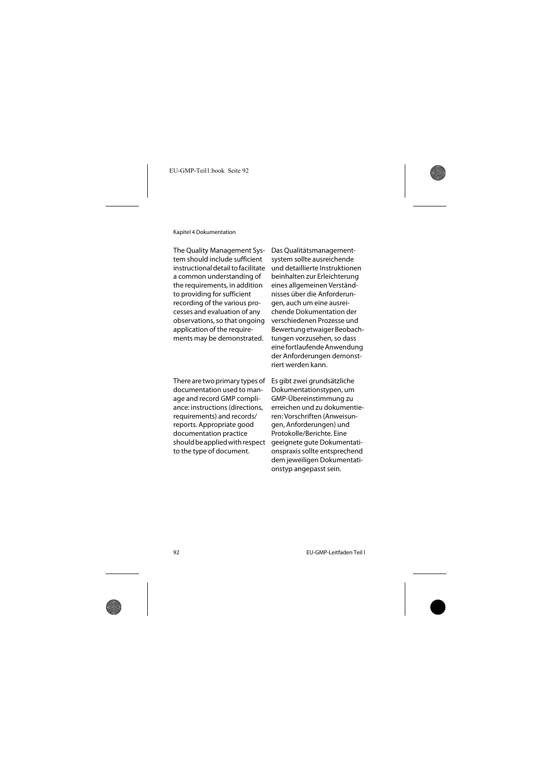The Quality Management System should include sufficient instructional detail to facilitate a common understanding of the requirements, in addition to providing for sufficient recording of the various processes and evaluation of any observations, so that ongoing application of the requirements may be demonstrated.

There are two primary types of documentation used to manage and record GMP compliance: instructions (directions, requirements) and records/ reports. Appropriate good documentation practice should be applied with respect to the type of document.

Das Qualitätsmanagementsystem sollte ausreichende und detaillierte Instruktionen beinhalten zur Erleichterung eines allgemeinen Verständnisses über die Anforderungen, auch um eine ausreichende Dokumentation der verschiedenen Prozesse und Bewertung etwaiger Beobachtungen vorzusehen, so dass eine fortlaufende Anwendung der Anforderungen demonstriert werden kann.

Es gibt zwei grundsätzliche Dokumentationstypen, um GMP-Übereinstimmung zu erreichen und zu dokumentieren: Vorschriften (Anweisungen, Anforderungen) und Protokolle/Berichte. Eine geeignete gute Dokumentationspraxis sollte entsprechend dem jeweiligen Dokumentationstyp angepasst sein.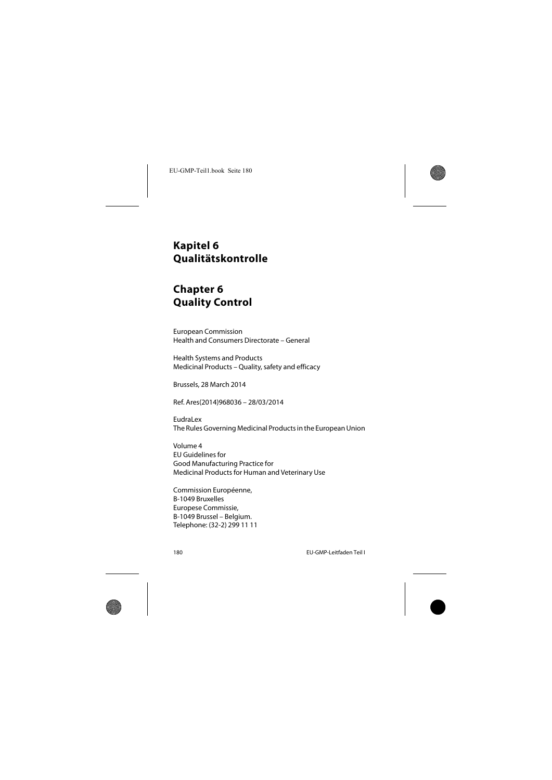## <span id="page-12-0"></span>**Kapitel 6 Qualitätskontrolle**

# **Chapter 6 Quality Control**

European Commission Health and Consumers Directorate – General

Health Systems and Products Medicinal Products – Quality, safety and efficacy

Brussels, 28 March 2014

Ref. Ares(2014)968036 – 28/03/2014

EudraLex The Rules Governing Medicinal Products in the European Union

Volume 4 EU Guidelines for Good Manufacturing Practice for Medicinal Products for Human and Veterinary Use

Commission Européenne, B-1049 Bruxelles Europese Commissie, B-1049 Brussel – Belgium. Telephone: (32-2) 299 11 11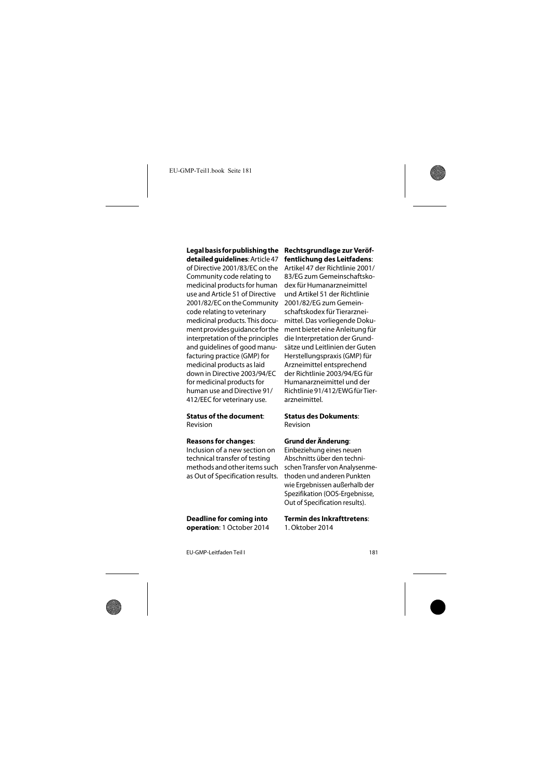**Legal basis for publishing the detailed guidelines**: Article 47 of Directive 2001/83/EC on the Community code relating to medicinal products for human use and Article 51 of Directive 2001/82/EC on the Community code relating to veterinary medicinal products. This document provides guidance for the interpretation of the principles and guidelines of good manufacturing practice (GMP) for medicinal products as laid down in Directive 2003/94/EC for medicinal products for human use and Directive 91/ 412/EEC for veterinary use.

#### **Status of the document**:

Revision

### **Reasons for changes**:

Inclusion of a new section on technical transfer of testing methods and other items such as Out of Specification results.

**Deadline for coming into operation**: 1 October 2014

### **Rechtsgrundlage zur Veröffentlichung des Leitfadens**:

Artikel 47 der Richtlinie 2001/ 83/EG zum Gemeinschaftskodex für Humanarzneimittel und Artikel 51 der Richtlinie 2001/82/EG zum Gemeinschaftskodex für Tierarzneimittel. Das vorliegende Dokument bietet eine Anleitung für die Interpretation der Grundsätze und Leitlinien der Guten Herstellungspraxis (GMP) für Arzneimittel entsprechend der Richtlinie 2003/94/EG für Humanarzneimittel und der Richtlinie 91/412/EWG für Tierarzneimittel.

# **Status des Dokuments**:

Revision

## **Grund der Änderung**:

Einbeziehung eines neuen Abschnitts über den technischen Transfer von Analysenmethoden und anderen Punkten wie Ergebnissen außerhalb der Spezifikation (OOS-Ergebnisse, Out of Specification results).

**Termin des Inkrafttretens**: 1. Oktober 2014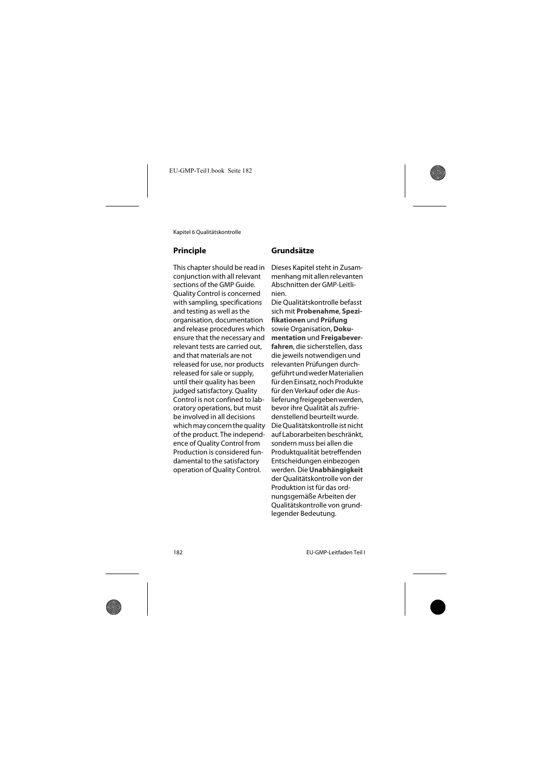This chapter should be read in conjunction with all relevant sections of the GMP Guide. Quality Control is concerned with sampling, specifications and testing as well as the organisation, documentation and release procedures which ensure that the necessary and relevant tests are carried out, and that materials are not released for use, nor products released for sale or supply, until their quality has been judged satisfactory. Quality Control is not confined to laboratory operations, but must be involved in all decisions which may concern the quality of the product. The independence of Quality Control from Production is considered fundamental to the satisfactory operation of Quality Control.

## **Principle Grundsätze**

<span id="page-14-0"></span>Dieses Kapitel steht in Zusammenhang mit allen relevanten Abschnitten der GMP-Leitlinien.

Die Qualitätskontrolle befasst sich mit **Probenahme**, **Spezifikationen** und **Prüfung** sowie Organisation, **Dokumentation** und **Freigabeverfahren**, die sicherstellen, dass die jeweils notwendigen und relevanten Prüfungen durchgeführt und weder Materialien für den Einsatz, noch Produkte für den Verkauf oder die Auslieferung freigegeben werden, bevor ihre Qualität als zufriedenstellend beurteilt wurde. Die Qualitätskontrolle ist nicht auf Laborarbeiten beschränkt, sondern muss bei allen die Produktqualität betreffenden Entscheidungen einbezogen werden. Die **Unabhängigkeit** der Qualitätskontrolle von der Produktion ist für das ordnungsgemäße Arbeiten der Qualitätskontrolle von grundlegender Bedeutung.